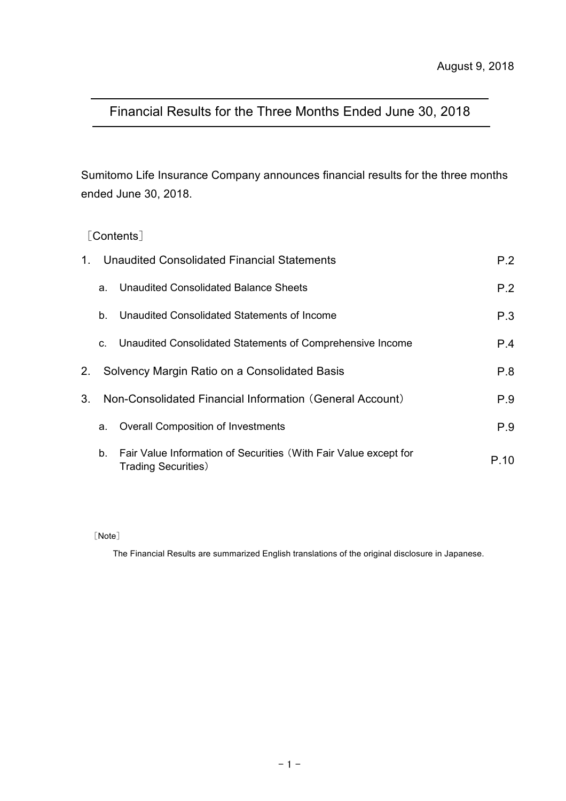# Financial Results for the Three Months Ended June 30, 2018

Sumitomo Life Insurance Company announces financial results for the three months ended June 30, 2018.

# [Contents]

| $1_{-}$        |    | Unaudited Consolidated Financial Statements                                                     | P.2  |
|----------------|----|-------------------------------------------------------------------------------------------------|------|
|                | a. | Unaudited Consolidated Balance Sheets                                                           | P.2  |
|                | b. | Unaudited Consolidated Statements of Income                                                     | P.3  |
|                | C. | Unaudited Consolidated Statements of Comprehensive Income                                       | P.4  |
| 2.             |    | Solvency Margin Ratio on a Consolidated Basis                                                   | P.8  |
| 3 <sub>1</sub> |    | Non-Consolidated Financial Information (General Account)                                        | P.9  |
|                | a. | <b>Overall Composition of Investments</b>                                                       | P.9  |
|                | b. | Fair Value Information of Securities (With Fair Value except for<br><b>Trading Securities</b> ) | P 10 |

[Note]

The Financial Results are summarized English translations of the original disclosure in Japanese.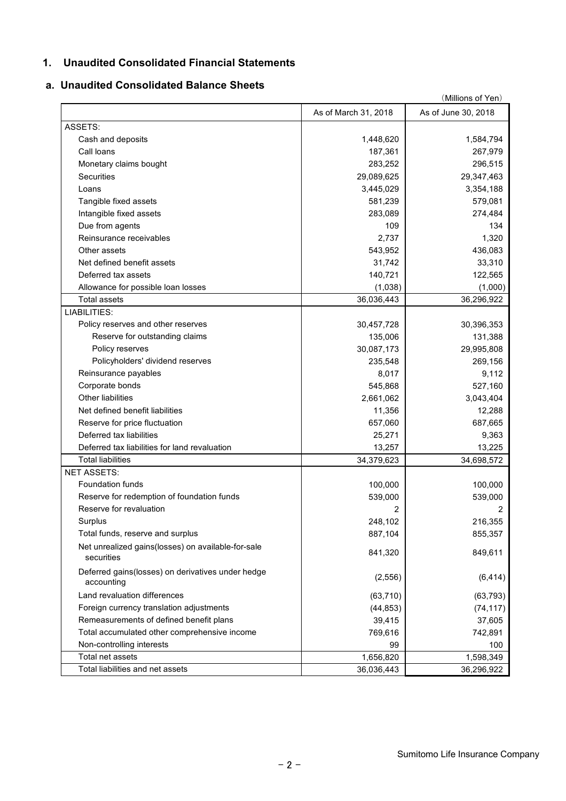### **1. Unaudited Consolidated Financial Statements**

### **a. Unaudited Consolidated Balance Sheets**

|                                                                  |                      | (Millions of Yen)   |
|------------------------------------------------------------------|----------------------|---------------------|
|                                                                  | As of March 31, 2018 | As of June 30, 2018 |
| ASSETS:                                                          |                      |                     |
| Cash and deposits                                                | 1,448,620            | 1,584,794           |
| Call loans                                                       | 187,361              | 267,979             |
| Monetary claims bought                                           | 283,252              | 296,515             |
| <b>Securities</b>                                                | 29,089,625           | 29,347,463          |
| Loans                                                            | 3,445,029            | 3,354,188           |
| Tangible fixed assets                                            | 581,239              | 579,081             |
| Intangible fixed assets                                          | 283,089              | 274,484             |
| Due from agents                                                  | 109                  | 134                 |
| Reinsurance receivables                                          | 2,737                | 1,320               |
| Other assets                                                     | 543,952              | 436,083             |
| Net defined benefit assets                                       | 31,742               | 33,310              |
| Deferred tax assets                                              | 140,721              | 122,565             |
| Allowance for possible loan losses                               | (1,038)              | (1,000)             |
| <b>Total assets</b>                                              | 36,036,443           | 36,296,922          |
| LIABILITIES:                                                     |                      |                     |
| Policy reserves and other reserves                               | 30,457,728           | 30,396,353          |
| Reserve for outstanding claims                                   | 135,006              | 131,388             |
| Policy reserves                                                  | 30,087,173           | 29,995,808          |
| Policyholders' dividend reserves                                 | 235,548              | 269,156             |
| Reinsurance payables                                             | 8,017                | 9,112               |
| Corporate bonds                                                  | 545,868              | 527,160             |
| Other liabilities                                                | 2,661,062            | 3,043,404           |
| Net defined benefit liabilities                                  | 11,356               | 12,288              |
| Reserve for price fluctuation                                    | 657,060              | 687,665             |
| Deferred tax liabilities                                         | 25,271               | 9,363               |
| Deferred tax liabilities for land revaluation                    | 13,257               | 13,225              |
| <b>Total liabilities</b>                                         | 34,379,623           | 34,698,572          |
| <b>NET ASSETS:</b>                                               |                      |                     |
| <b>Foundation funds</b>                                          | 100,000              | 100,000             |
| Reserve for redemption of foundation funds                       | 539,000              | 539,000             |
| Reserve for revaluation                                          | 2                    | 2                   |
| Surplus                                                          | 248,102              | 216,355             |
| Total funds, reserve and surplus                                 | 887,104              | 855,357             |
|                                                                  |                      |                     |
| Net unrealized gains(losses) on available-for-sale<br>securities | 841,320              | 849,611             |
| Deferred gains(losses) on derivatives under hedge<br>accounting  | (2, 556)             | (6, 414)            |
| Land revaluation differences                                     | (63, 710)            | (63, 793)           |
| Foreign currency translation adjustments                         | (44, 853)            | (74, 117)           |
| Remeasurements of defined benefit plans                          | 39,415               | 37,605              |
| Total accumulated other comprehensive income                     | 769,616              | 742,891             |
| Non-controlling interests                                        | 99                   | 100                 |
| Total net assets                                                 | 1,656,820            | 1,598,349           |
| Total liabilities and net assets                                 | 36,036,443           | 36,296,922          |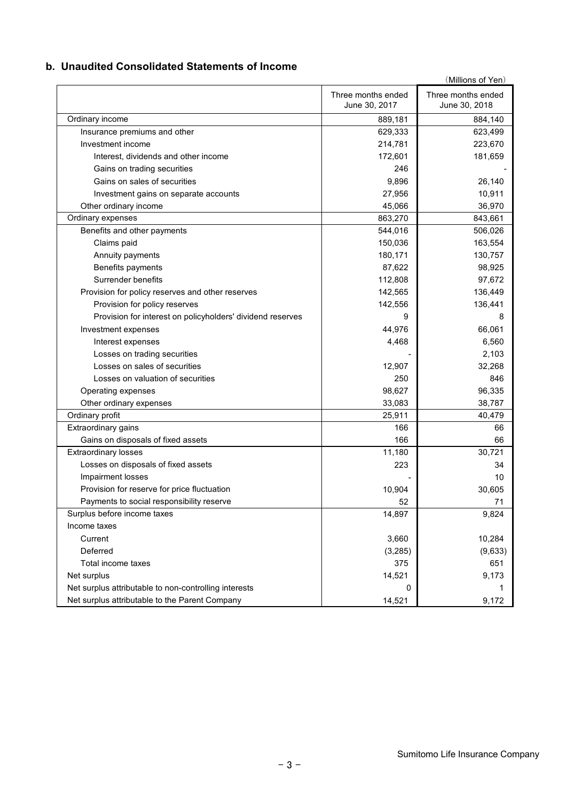### **b. Unaudited Consolidated Statements of Income**

|                                                            |                                     | (Millions of Yen)                   |
|------------------------------------------------------------|-------------------------------------|-------------------------------------|
|                                                            | Three months ended<br>June 30, 2017 | Three months ended<br>June 30, 2018 |
| Ordinary income                                            | 889,181                             | 884,140                             |
| Insurance premiums and other                               | 629,333                             | 623,499                             |
| Investment income                                          | 214,781                             | 223,670                             |
| Interest, dividends and other income                       | 172,601                             | 181,659                             |
| Gains on trading securities                                | 246                                 |                                     |
| Gains on sales of securities                               | 9,896                               | 26,140                              |
| Investment gains on separate accounts                      | 27,956                              | 10,911                              |
| Other ordinary income                                      | 45,066                              | 36,970                              |
| Ordinary expenses                                          | 863,270                             | 843,661                             |
| Benefits and other payments                                | 544,016                             | 506,026                             |
| Claims paid                                                | 150,036                             | 163,554                             |
| Annuity payments                                           | 180,171                             | 130,757                             |
| Benefits payments                                          | 87,622                              | 98,925                              |
| Surrender benefits                                         | 112,808                             | 97,672                              |
| Provision for policy reserves and other reserves           | 142,565                             | 136,449                             |
| Provision for policy reserves                              | 142,556                             | 136,441                             |
| Provision for interest on policyholders' dividend reserves | 9                                   | 8                                   |
| Investment expenses                                        | 44,976                              | 66,061                              |
| Interest expenses                                          | 4,468                               | 6,560                               |
| Losses on trading securities                               |                                     | 2,103                               |
| Losses on sales of securities                              | 12,907                              | 32,268                              |
| Losses on valuation of securities                          | 250                                 | 846                                 |
| Operating expenses                                         | 98,627                              | 96,335                              |
| Other ordinary expenses                                    | 33,083                              | 38,787                              |
| Ordinary profit                                            | 25,911                              | 40,479                              |
| Extraordinary gains                                        | 166                                 | 66                                  |
| Gains on disposals of fixed assets                         | 166                                 | 66                                  |
| <b>Extraordinary losses</b>                                | 11,180                              | 30,721                              |
| Losses on disposals of fixed assets                        | 223                                 | 34                                  |
| Impairment losses                                          |                                     | 10                                  |
| Provision for reserve for price fluctuation                | 10,904                              | 30,605                              |
| Payments to social responsibility reserve                  | 52                                  | 71                                  |
| Surplus before income taxes                                | 14,897                              | 9,824                               |
| Income taxes                                               |                                     |                                     |
| Current                                                    | 3,660                               | 10,284                              |
| Deferred                                                   | (3,285)                             | (9,633)                             |
| Total income taxes                                         | 375                                 | 651                                 |
| Net surplus                                                | 14,521                              | 9,173                               |
| Net surplus attributable to non-controlling interests      | 0                                   |                                     |
| Net surplus attributable to the Parent Company             | 14,521                              | 9,172                               |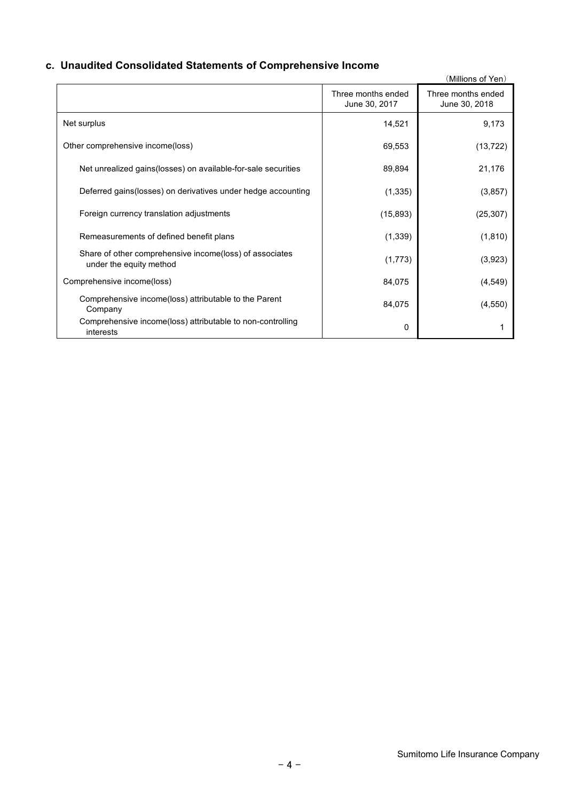# **c. Unaudited Consolidated Statements of Comprehensive Income**

|                                                                                    |                                     | (Millions of Yen)                   |
|------------------------------------------------------------------------------------|-------------------------------------|-------------------------------------|
|                                                                                    | Three months ended<br>June 30, 2017 | Three months ended<br>June 30, 2018 |
| Net surplus                                                                        | 14,521                              | 9,173                               |
| Other comprehensive income(loss)                                                   | 69,553                              | (13, 722)                           |
| Net unrealized gains (losses) on available-for-sale securities                     | 89,894                              | 21,176                              |
| Deferred gains (losses) on derivatives under hedge accounting                      | (1, 335)                            | (3, 857)                            |
| Foreign currency translation adjustments                                           | (15, 893)                           | (25, 307)                           |
| Remeasurements of defined benefit plans                                            | (1, 339)                            | (1, 810)                            |
| Share of other comprehensive income(loss) of associates<br>under the equity method | (1,773)                             | (3,923)                             |
| Comprehensive income(loss)                                                         | 84,075                              | (4, 549)                            |
| Comprehensive income(loss) attributable to the Parent<br>Company                   | 84,075                              | (4, 550)                            |
| Comprehensive income(loss) attributable to non-controlling<br>interests            | 0                                   |                                     |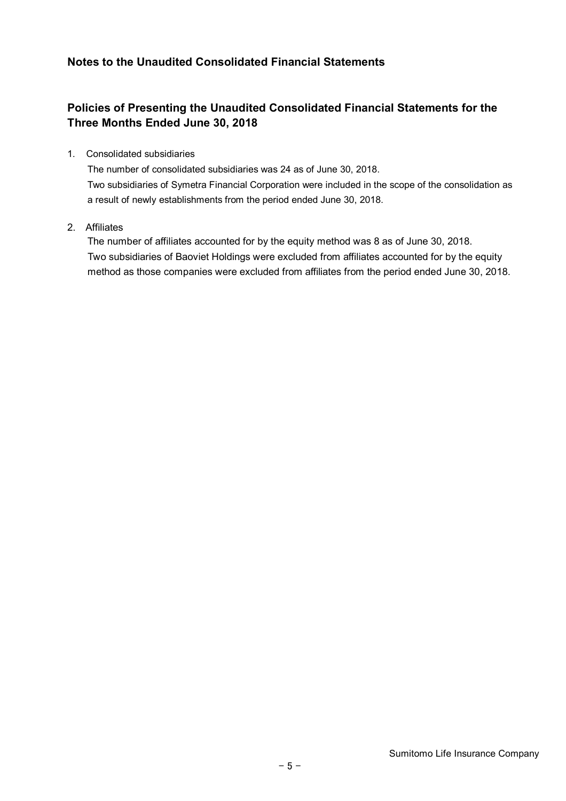# **Notes to the Unaudited Consolidated Financial Statements**

# **Policies of Presenting the Unaudited Consolidated Financial Statements for the Three Months Ended June 30, 2018**

### 1. Consolidated subsidiaries

The number of consolidated subsidiaries was 24 as of June 30, 2018. Two subsidiaries of Symetra Financial Corporation were included in the scope of the consolidation as a result of newly establishments from the period ended June 30, 2018.

### 2. Affiliates

The number of affiliates accounted for by the equity method was 8 as of June 30, 2018. Two subsidiaries of Baoviet Holdings were excluded from affiliates accounted for by the equity method as those companies were excluded from affiliates from the period ended June 30, 2018.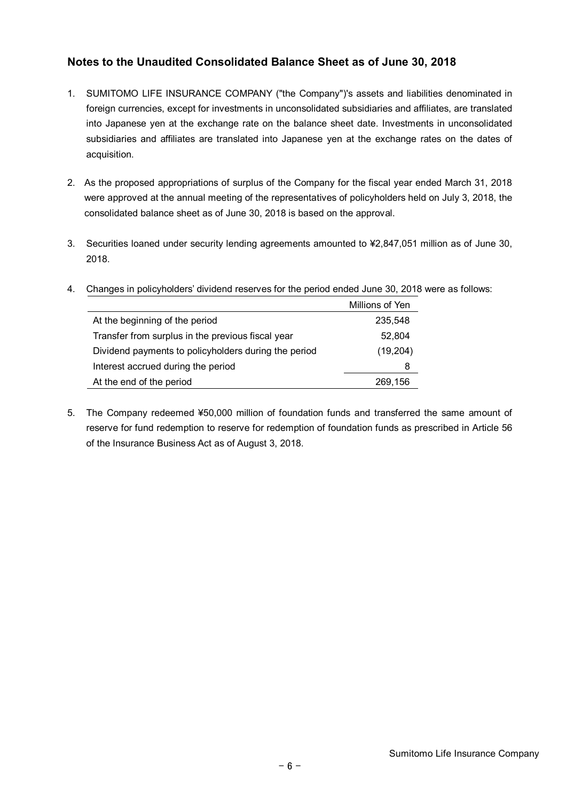# **Notes to the Unaudited Consolidated Balance Sheet as of June 30, 2018**

- 1. SUMITOMO LIFE INSURANCE COMPANY ("the Company")'s assets and liabilities denominated in foreign currencies, except for investments in unconsolidated subsidiaries and affiliates, are translated into Japanese yen at the exchange rate on the balance sheet date. Investments in unconsolidated subsidiaries and affiliates are translated into Japanese yen at the exchange rates on the dates of acquisition.
- 2. As the proposed appropriations of surplus of the Company for the fiscal year ended March 31, 2018 were approved at the annual meeting of the representatives of policyholders held on July 3, 2018, the consolidated balance sheet as of June 30, 2018 is based on the approval.
- 3. Securities loaned under security lending agreements amounted to ¥2,847,051 million as of June 30, 2018.

|                                                      | Millions of Yen |
|------------------------------------------------------|-----------------|
| At the beginning of the period                       | 235,548         |
| Transfer from surplus in the previous fiscal year    | 52,804          |
| Dividend payments to policyholders during the period | (19, 204)       |
| Interest accrued during the period                   | 8               |
| At the end of the period                             | 269,156         |

4. Changes in policyholders' dividend reserves for the period ended June 30, 2018 were as follows:

5. The Company redeemed ¥50,000 million of foundation funds and transferred the same amount of reserve for fund redemption to reserve for redemption of foundation funds as prescribed in Article 56 of the Insurance Business Act as of August 3, 2018.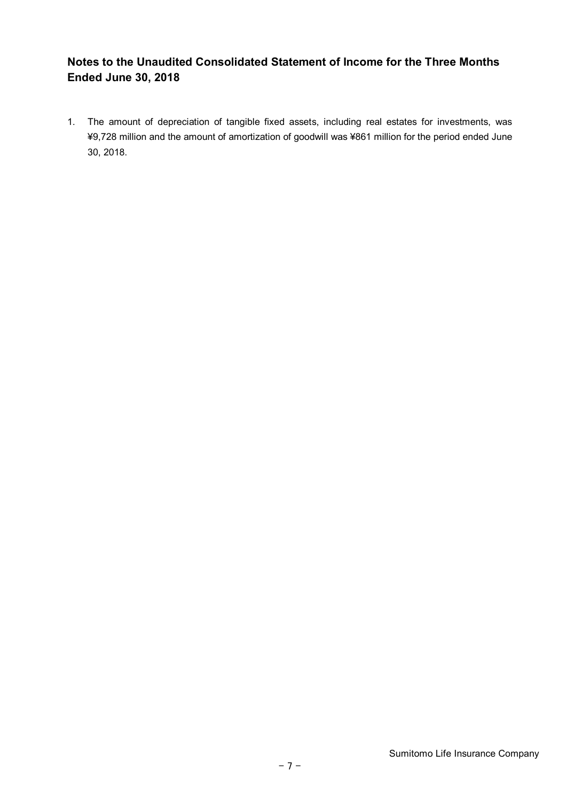# **Notes to the Unaudited Consolidated Statement of Income for the Three Months Ended June 30, 2018**

1. The amount of depreciation of tangible fixed assets, including real estates for investments, was ¥9,728 million and the amount of amortization of goodwill was ¥861 million for the period ended June 30, 2018.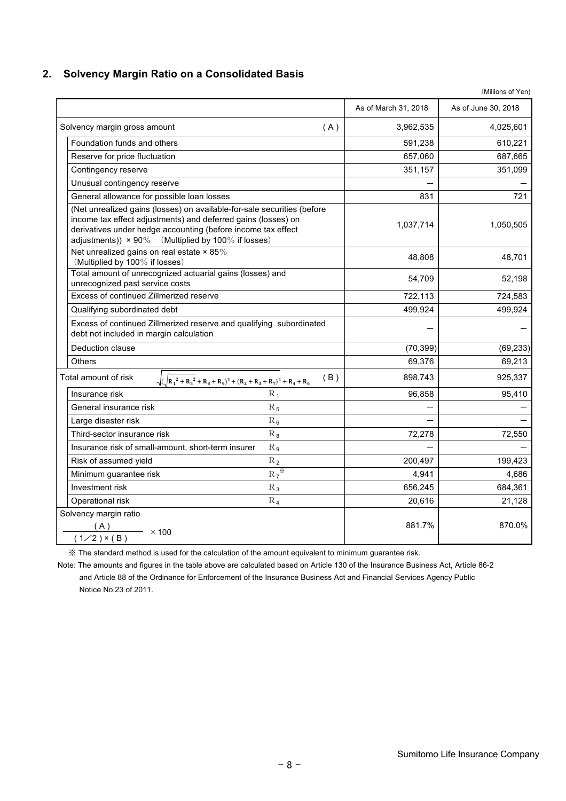### **2. Solvency Margin Ratio on a Consolidated Basis**

|                                                                                                                                                                                                                                                                       |                      | (Millions of Yen)   |
|-----------------------------------------------------------------------------------------------------------------------------------------------------------------------------------------------------------------------------------------------------------------------|----------------------|---------------------|
|                                                                                                                                                                                                                                                                       | As of March 31, 2018 | As of June 30, 2018 |
| Solvency margin gross amount<br>(A)                                                                                                                                                                                                                                   | 3,962,535            | 4,025,601           |
| Foundation funds and others                                                                                                                                                                                                                                           | 591,238              | 610,221             |
| Reserve for price fluctuation                                                                                                                                                                                                                                         | 657,060              | 687,665             |
| Contingency reserve                                                                                                                                                                                                                                                   | 351,157              | 351,099             |
| Unusual contingency reserve                                                                                                                                                                                                                                           |                      |                     |
| General allowance for possible loan losses                                                                                                                                                                                                                            | 831                  | 721                 |
| (Net unrealized gains (losses) on available-for-sale securities (before<br>income tax effect adjustments) and deferred gains (losses) on<br>derivatives under hedge accounting (before income tax effect<br>adjustments)) $\times$ 90% (Multiplied by 100% if losses) | 1,037,714            | 1,050,505           |
| Net unrealized gains on real estate $\times$ 85%<br>(Multiplied by 100% if losses)                                                                                                                                                                                    | 48,808               | 48,701              |
| Total amount of unrecognized actuarial gains (losses) and<br>unrecognized past service costs                                                                                                                                                                          | 54,709               | 52,198              |
| Excess of continued Zillmerized reserve                                                                                                                                                                                                                               | 722,113              | 724,583             |
| Qualifying subordinated debt                                                                                                                                                                                                                                          | 499,924              | 499,924             |
| Excess of continued Zillmerized reserve and qualifying subordinated<br>debt not included in margin calculation                                                                                                                                                        |                      |                     |
| Deduction clause                                                                                                                                                                                                                                                      | (70, 399)            | (69, 233)           |
| <b>Others</b>                                                                                                                                                                                                                                                         | 69,376               | 69,213              |
| Total amount of risk<br>(B)<br>$\sqrt{(R_1^2+R_5^2+R_8+R_9)^2+(R_2+R_3+R_7)^2+R_4+R_6)}$                                                                                                                                                                              | 898,743              | 925,337             |
| $R_1$<br>Insurance risk                                                                                                                                                                                                                                               | 96,858               | 95,410              |
| General insurance risk<br>$R_5$                                                                                                                                                                                                                                       |                      |                     |
| $R_6$<br>Large disaster risk                                                                                                                                                                                                                                          |                      |                     |
| Third-sector insurance risk<br>$R_8$                                                                                                                                                                                                                                  | 72,278               | 72,550              |
| Insurance risk of small-amount, short-term insurer<br>R <sub>9</sub>                                                                                                                                                                                                  |                      |                     |
| Risk of assumed yield<br>$R_2$                                                                                                                                                                                                                                        | 200,497              | 199,423             |
| $R_7^{\overline{\mathcal{K}}}$<br>Minimum guarantee risk                                                                                                                                                                                                              | 4,941                | 4,686               |
| Investment risk<br>$R_3$                                                                                                                                                                                                                                              | 656,245              | 684,361             |
| Operational risk<br>$R_4$                                                                                                                                                                                                                                             | 20,616               | 21,128              |
| Solvency margin ratio<br>(A)<br>$\longrightarrow$ ×100<br>$(1/2)$ × (B)                                                                                                                                                                                               | 881.7%               | 870.0%              |

※ The standard method is used for the calculation of the amount equivalent to minimum guarantee risk.

Note: The amounts and figures in the table above are calculated based on Article 130 of the Insurance Business Act, Article 86-2 and Article 88 of the Ordinance for Enforcement of the Insurance Business Act and Financial Services Agency Public Notice No.23 of 2011.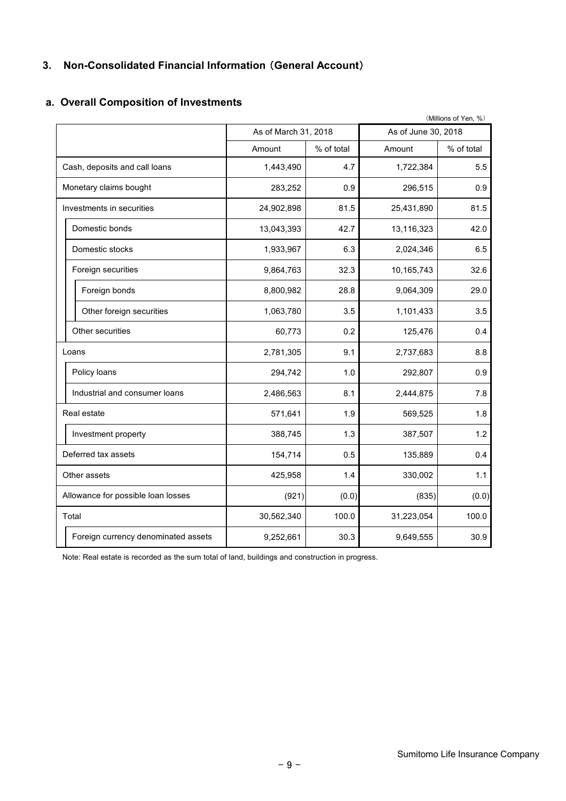# **3. Non-Consolidated Financial Information** (**General Account**)

|                                     |                      |            |                     | (Millions of Yen, %) |
|-------------------------------------|----------------------|------------|---------------------|----------------------|
|                                     | As of March 31, 2018 |            | As of June 30, 2018 |                      |
|                                     | Amount               | % of total | Amount              | % of total           |
| Cash, deposits and call loans       | 1,443,490            | 4.7        | 1,722,384           | 5.5                  |
| Monetary claims bought              | 283,252              | 0.9        | 296,515             | 0.9                  |
| Investments in securities           | 24,902,898           | 81.5       | 25,431,890          | 81.5                 |
| Domestic bonds                      | 13,043,393           | 42.7       | 13,116,323          | 42.0                 |
| Domestic stocks                     | 1,933,967            | 6.3        | 2,024,346           | 6.5                  |
| Foreign securities                  | 9,864,763            | 32.3       | 10,165,743          | 32.6                 |
| Foreign bonds                       | 8,800,982            | 28.8       | 9,064,309           | 29.0                 |
| Other foreign securities            | 1,063,780            | 3.5        | 1,101,433           | 3.5                  |
| Other securities                    | 60,773               | 0.2        | 125,476             | 0.4                  |
| Loans                               | 2,781,305            | 9.1        | 2,737,683           | 8.8                  |
| Policy loans                        | 294,742              | 1.0        | 292,807             | 0.9                  |
| Industrial and consumer loans       | 2,486,563            | 8.1        | 2,444,875           | 7.8                  |
| Real estate                         | 571,641              | 1.9        | 569,525             | 1.8                  |
| Investment property                 | 388,745              | 1.3        | 387,507             | 1.2                  |
| Deferred tax assets                 | 154,714              | 0.5        | 135,889             | 0.4                  |
| Other assets                        | 425,958              | 1.4        | 330,002             | 1.1                  |
| Allowance for possible loan losses  | (921)                | (0.0)      | (835)               | (0.0)                |
| Total                               | 30,562,340           | 100.0      | 31,223,054          | 100.0                |
| Foreign currency denominated assets | 9,252,661            | 30.3       | 9,649,555           | 30.9                 |

### **a. Overall Composition of Investments**

Note: Real estate is recorded as the sum total of land, buildings and construction in progress.